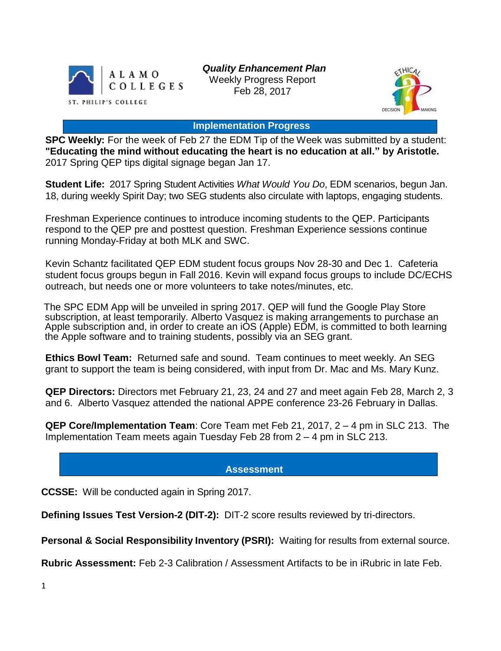

*Quality Enhancement Plan* Weekly Progress Report Feb 28, 2017



#### **Implementation Progress**

**SPC Weekly:** For the week of Feb 27 the EDM Tip of the Week was submitted by a student: **"Educating the mind without educating the heart is no education at all." by Aristotle.** 2017 Spring QEP tips digital signage began Jan 17.

**Student Life:** 2017 Spring Student Activities *What Would You Do*, EDM scenarios, begun Jan. 18, during weekly Spirit Day; two SEG students also circulate with laptops, engaging students.

Freshman Experience continues to introduce incoming students to the QEP. Participants respond to the QEP pre and posttest question. Freshman Experience sessions continue running Monday-Friday at both MLK and SWC.

Kevin Schantz facilitated QEP EDM student focus groups Nov 28-30 and Dec 1. Cafeteria student focus groups begun in Fall 2016. Kevin will expand focus groups to include DC/ECHS outreach, but needs one or more volunteers to take notes/minutes, etc.

The SPC EDM App will be unveiled in spring 2017. QEP will fund the Google Play Store subscription, at least temporarily. Alberto Vasquez is making arrangements to purchase an Apple subscription and, in order to create an iOS (Apple) EDM, is committed to both learning the Apple software and to training students, possibly via an SEG grant.

**Ethics Bowl Team:** Returned safe and sound. Team continues to meet weekly. An SEG grant to support the team is being considered, with input from Dr. Mac and Ms. Mary Kunz.

**QEP Directors:** Directors met February 21, 23, 24 and 27 and meet again Feb 28, March 2, 3 and 6. Alberto Vasquez attended the national APPE conference 23-26 February in Dallas.

**QEP Core/Implementation Team**: Core Team met Feb 21, 2017, 2 – 4 pm in SLC 213. The Implementation Team meets again Tuesday Feb 28 from 2 – 4 pm in SLC 213.

# **Assessment**

**CCSSE:** Will be conducted again in Spring 2017.

**Defining Issues Test Version-2 (DIT-2):** DIT-2 score results reviewed by tri-directors.

**Personal & Social Responsibility Inventory (PSRI):** Waiting for results from external source.

**Rubric Assessment:** Feb 2-3 Calibration / Assessment Artifacts to be in iRubric in late Feb.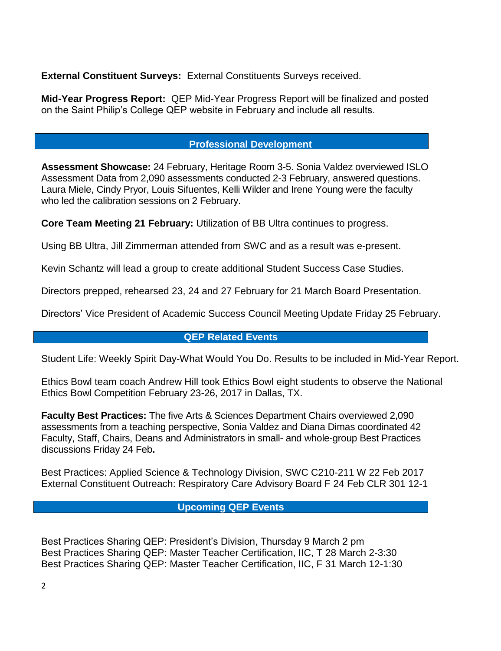**External Constituent Surveys:** External Constituents Surveys received.

**Mid-Year Progress Report:** QEP Mid-Year Progress Report will be finalized and posted on the Saint Philip's College QEP website in February and include all results.

# **Professional Development**

**Assessment Showcase:** 24 February, Heritage Room 3-5. Sonia Valdez overviewed ISLO Assessment Data from 2,090 assessments conducted 2-3 February, answered questions. Laura Miele, Cindy Pryor, Louis Sifuentes, Kelli Wilder and Irene Young were the faculty who led the calibration sessions on 2 February.

**Core Team Meeting 21 February:** Utilization of BB Ultra continues to progress.

Using BB Ultra, Jill Zimmerman attended from SWC and as a result was e-present.

Kevin Schantz will lead a group to create additional Student Success Case Studies.

Directors prepped, rehearsed 23, 24 and 27 February for 21 March Board Presentation.

Directors' Vice President of Academic Success Council Meeting Update Friday 25 February.

### **QEP Related Events**

Student Life: Weekly Spirit Day-What Would You Do. Results to be included in Mid-Year Report.

Ethics Bowl team coach Andrew Hill took Ethics Bowl eight students to observe the National Ethics Bowl Competition February 23-26, 2017 in Dallas, TX.

**Faculty Best Practices:** The five Arts & Sciences Department Chairs overviewed 2,090 assessments from a teaching perspective, Sonia Valdez and Diana Dimas coordinated 42 Faculty, Staff, Chairs, Deans and Administrators in small- and whole-group Best Practices discussions Friday 24 Feb**.**

Best Practices: Applied Science & Technology Division, SWC C210-211 W 22 Feb 2017 External Constituent Outreach: Respiratory Care Advisory Board F 24 Feb CLR 301 12-1

# **Upcoming QEP Events**

Best Practices Sharing QEP: President's Division, Thursday 9 March 2 pm Best Practices Sharing QEP: Master Teacher Certification, IIC, T 28 March 2-3:30 Best Practices Sharing QEP: Master Teacher Certification, IIC, F 31 March 12-1:30